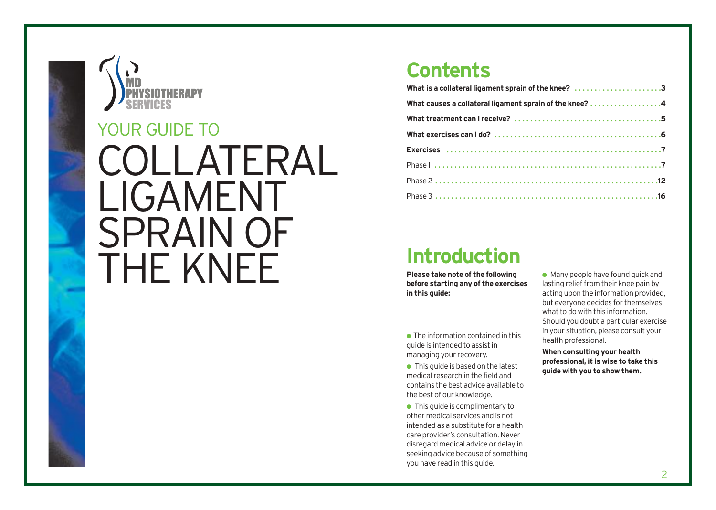

### **Contents**

| What is a collateral ligament sprain of the knee? 3     |
|---------------------------------------------------------|
| What causes a collateral ligament sprain of the knee? 4 |
|                                                         |
|                                                         |
|                                                         |
|                                                         |
|                                                         |
|                                                         |

### **Introduction**

**Please take note of the following before starting any of the exercises in this guide:**

 $\bullet$  The information contained in this guide is intended to assist in managing your recovery.

 $\bullet$  This quide is based on the latest medical research in the field and contains the best advice available to the best of our knowledge.

● This quide is complimentary to other medical services and is not intended as a substitute for a health care provider's consultation. Never disregard medical advice or delay in seeking advice because of something you have read in this guide.

 $\bullet$  Many people have found quick and lasting relief from their knee pain by acting upon the information provided, but everyone decides for themselves what to do with this information. Should you doubt a particular exercise in your situation, please consult your health professional.

**When consulting your health professional, it is wise to take this guide with you to show them.**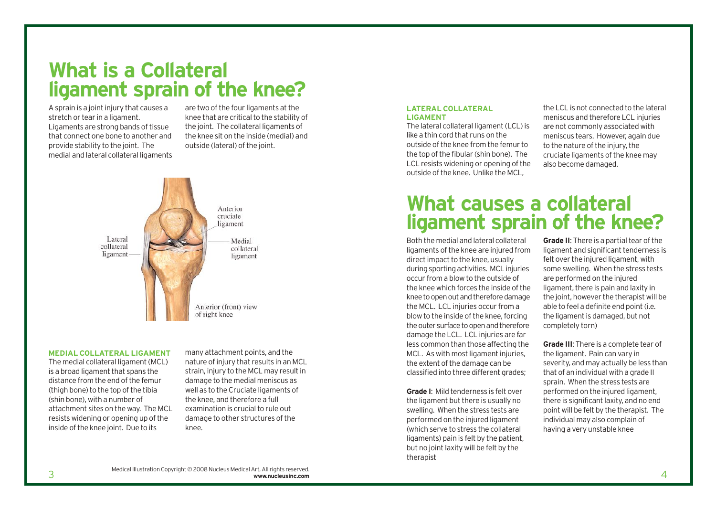### **What is a Collateral ligament sprain of the knee?**

A sprain is a joint injury that causes a stretch or tear in a ligament. Ligaments are strong bands of tissue that connect one bone to another and provide stability to the joint. The medial and lateral collateral ligaments

are two of the four ligaments at the knee that are critical to the stability of the joint. The collateral ligaments of the knee sit on the inside (medial) and outside (lateral) of the joint.



#### **MEDIAL COLLATERAL LIGAMENT**

The medial collateral ligament (MCL) is a broad ligament that spans the distance from the end of the femur (thigh bone) to the top of the tibia (shin bone), with a number of attachment sites on the way. The MCL resists widening or opening up of the inside of the knee joint. Due to its

many attachment points, and the nature of injury that results in an MCL strain, injury to the MCL may result in damage to the medial meniscus as well as to the Cruciate ligaments of the knee, and therefore a full examination is crucial to rule out damage to other structures of the knee.

### **LATERAL COLLATERAL LIGAMENT**

The lateral collateral ligament (LCL) is like a thin cord that runs on the outside of the knee from the femur to the top of the fibular (shin bone). The LCL resists widening or opening of the outside of the knee. Unlike the MCL,

the LCL is not connected to the lateral meniscus and therefore LCL injuries are not commonly associated with meniscus tears. However, again due to the nature of the injury, the cruciate ligaments of the knee may also become damaged.

### **What causes a collateral ligament sprain of the knee?**

Both the medial and lateral collateral ligaments of the knee are injured from direct impact to the knee, usually during sporting activities. MCL injuries occur from a blow to the outside of the knee which forces the inside of the knee to open out and therefore damage the MCL. LCL injuries occur from a blow to the inside of the knee, forcing the outer surface to open and therefore damage the LCL. LCL injuries are far less common than those affecting the MCL. As with most ligament injuries, the extent of the damage can be classified into three different grades;

**Grade I**: Mild tenderness is felt over the ligament but there is usually no swelling. When the stress tests are performed on the injured ligament (which serve to stress the collateral ligaments) pain is felt by the patient, but no joint laxity will be felt by the therapist

**Grade II**: There is a partial tear of the ligament and significant tenderness is felt over the injured ligament, with some swelling. When the stress tests are performed on the injured ligament, there is pain and laxity in the joint, however the therapist will be able to feel a definite end point (i.e. the ligament is damaged, but not completely torn)

**Grade III**: There is a complete tear of the ligament. Pain can vary in severity, and may actually be less than that of an individual with a grade II sprain. When the stress tests are performed on the injured ligament, there is significant laxity, and no end point will be felt by the therapist. The individual may also complain of having a very unstable knee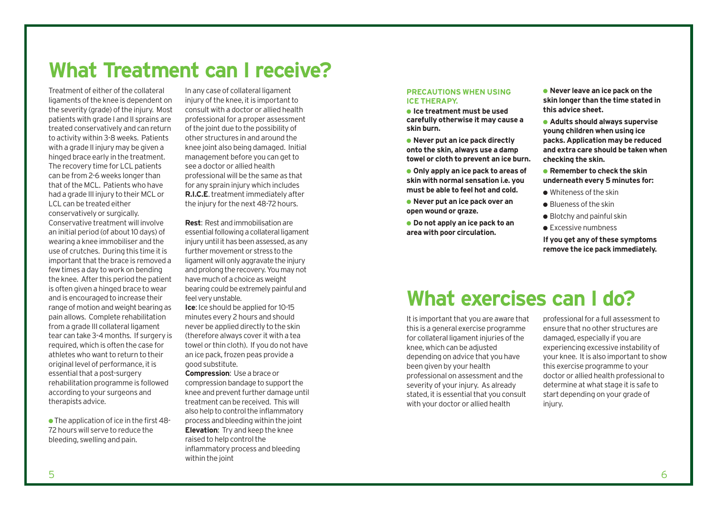# **What Treatment can I receive?**

Treatment of either of the collateral ligaments of the knee is dependent on the severity (grade) of the injury. Most patients with grade I and II sprains are treated conservatively and can return to activity within 3-8 weeks. Patients with a grade II injury may be given a hinged brace early in the treatment. The recovery time for LCL patients can be from 2-6 weeks longer than that of the MCL. Patients who have had a grade III injury to their MCL or LCL can be treated either conservatively or surgically. Conservative treatment will involve an initial period (of about 10 days) of wearing a knee immobiliser and the use of crutches. During this time it is important that the brace is removed a few times a day to work on bending the knee. After this period the patient is often given a hinged brace to wear and is encouraged to increase their range of motion and weight bearing as pain allows. Complete rehabilitation from a grade III collateral ligament tear can take 3-4 months. If surgery is required, which is often the case for athletes who want to return to their original level of performance, it is essential that a post-surgery rehabilitation programme is followed according to your surgeons and therapists advice.

● The application of ice in the first 48- 72 hours will serve to reduce the bleeding, swelling and pain.

In any case of collateral ligament injury of the knee, it is important to consult with a doctor or allied health professional for a proper assessment of the joint due to the possibility of other structures in and around the knee joint also being damaged. Initial management before you can get to see a doctor or allied health professional will be the same as that for any sprain injury which includes **R.I.C.E**. treatment immediately after the injury for the next 48-72 hours.

**Rest**: Rest and immobilisation are essential following a collateral ligament injury until it has been assessed, as any further movement or stress to the ligament will only aggravate the injury and prolong the recovery. You may not have much of a choice as weight bearing could be extremely painful and feel very unstable.

**Ice**: Ice should be applied for 10-15 minutes every 2 hours and should never be applied directly to the skin (therefore always cover it with a tea towel or thin cloth). If you do not have an ice pack, frozen peas provide a good substitute.

**Compression**: Use a brace or compression bandage to support the knee and prevent further damage until treatment can be received. This will also help to control the inflammatory process and bleeding within the joint **Elevation**: Try and keep the knee raised to help control the inflammatory process and bleeding within the joint

### **PRECAUTIONS WHEN USING ICE THERAPY.**

● **Ice treatment must be used carefully otherwise it may cause a skin burn.**

● **Never put an ice pack directly onto the skin, always use a damp towel or cloth to prevent an ice burn.**

● **Only apply an ice pack to areas of skin with normal sensation i.e. you must be able to feel hot and cold.**

● **Never put an ice pack over an open wound or graze.**

● **Do not apply an ice pack to an area with poor circulation.**

● **Never leave an ice pack on the skin longer than the time stated in this advice sheet.**

● **Adults should always supervise young children when using ice packs. Application may be reduced and extra care should be taken when checking the skin.**

● **Remember to check the skin underneath every 5 minutes for:**

- Whiteness of the skin
- Blueness of the skin
- $\bullet$  Blotchy and painful skin
- Excessive numbness

**If you get any of these symptoms remove the ice pack immediately.**

# **What exercises can I do?**

It is important that you are aware that this is a general exercise programme for collateral ligament injuries of the knee, which can be adjusted depending on advice that you have been given by your health professional on assessment and the severity of your injury. As already stated, it is essential that you consult with your doctor or allied health

professional for a full assessment to ensure that no other structures are damaged, especially if you are experiencing excessive instability of your knee. It is also important to show this exercise programme to your doctor or allied health professional to determine at what stage it is safe to start depending on your grade of injury.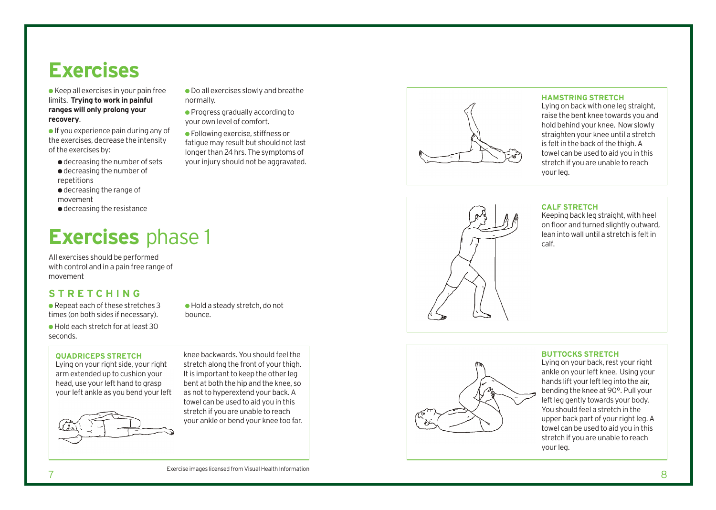# **Exercises**

**EXENCISES** D<br> **Exercises in your pain free**<br> **Exercises will only prolong your<br>
Progress will only prolong your<br>
<b>Exercises, decrease the intensity**<br>
of the exercises by:<br> **Exercises by:**<br> **EXENCISES** D<br> **EXENCISES** limits. **Trying to work in painful ranges will only prolong your recovery** .

● If you experience pain during any of the exercises, decrease the intensity of the exercises by:

- decreasing the number of sets ● decreasing the number of repetitions
- decreasing the range of
- movement
- decreasing the resistance

All exercises should be performed with control and in a pain free range of mo vement

### **S TRET CHING**

● Repeat each of these stretches 3 times (on both sides if necessary).

● Hold each stretch for at least 30 seconds.

**QUADRICEPS STRETCH**

Lying on your right side, your righ t arm extended up to cushion your head, use your left hand to grasp your left ankle as you bend your left



knee backwards. You should feel the stretch along the front of your thigh. It is impor tant to keep the other leg bent at both the hip and the knee, so as not to hyper extend your back. A towel can be used to aid you in this stretch if you are unable to reach your ankle or bend your knee too far.

● Hold a steady stretch, do not

bounc e .

● Do all exercises slowly and breathe

● Progress gradually according to your own level of comfort. ● Following exercise, stiffness or fatigue may result but should not last longer than 24 hrs. The symptoms of your injury should not be aggravated.

normally.

### **HAMSTRING STRETCH**

Lying on back with one leg straight, raise the bent knee towards you and hold behind your knee. Now slowly straighten your knee until a stretch is felt in the back of the thigh. A towel can be used to aid you in this stretch if you are unable to reach your leg.



### **CALF STRETCH**

Keeping back leg straight, with heel on floor and turned slightly outward, lean into wall until a stretch is felt in calf.

### **BUTTOCKS STRETCH**

Lying on your back, rest your right ankle on your left knee. Using your hands lift your left leg into the air, bending the knee at 90°. Pull your left leg gently towards your body. You should feel a stretch in the upper back part of your right leg. A towel can be used to aid you in this stretch if you are unable to reach your leg.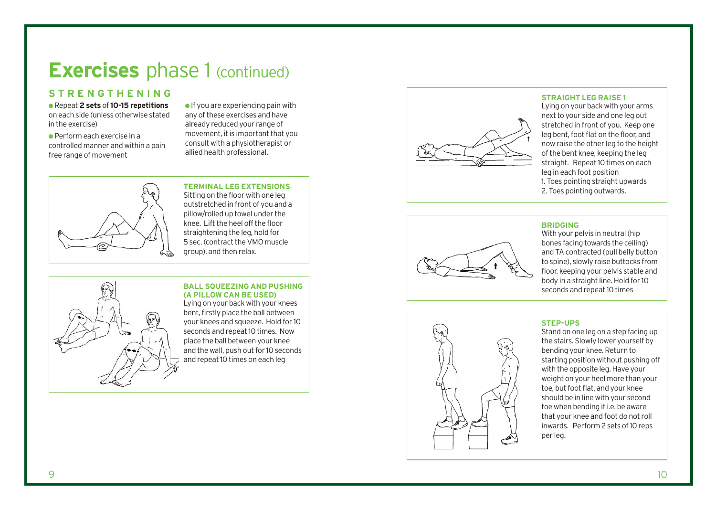### **Exercises** phase 1 (continued)

### **STRENGTHENING**

● Repeat **2 sets** of **10-15 repetitions** on each side (unless otherwise stated in the exercise)

 $\bullet$  Perform each exercise in a controlled manner and within a pain free range of movement

 $\bullet$  If you are experiencing pain with any of these exercises and have already reduced your range of movement, it is important that you consult with a physiotherapist or allied health professional.



**TERMINAL LEG EXTENSIONS** Sitting on the floor with one leg outstretched in front of you and a pillow/rolled up towel under the knee. Lift the heel off the floor straightening the leg, hold for 5 sec. (contract the VMO muscle group), and then relax.

### **BALL SQUEEZING AND PUSHING (A PILLOW CAN BE USED)**

Lying on your back with your knees bent, firstly place the ball between your knees and squeeze. Hold for 10 seconds and repeat 10 times. Now place the ball between your knee and the wall, push out for 10 seconds and repeat 10 times on each leg



### **STRAIGHT LEG RAISE 1**

Lying on your back with your arms next to your side and one leg out stretched in front of you. Keep one leg bent, foot flat on the floor, and now raise the other leg to the height of the bent knee, keeping the leg straight. Repeat 10 times on each leg in each foot position 1. Toes pointing straight upwards 2. Toes pointing outwards.



### **BRIDGING**

With your pelvis in neutral (hip bones facing towards the ceiling) and TA contracted (pull belly button to spine), slowly raise buttocks from floor, keeping your pelvis stable and body in a straight line. Hold for 10 seconds and repeat 10 times



### **STEP-UPS**

Stand on one leg on a s tep facing up the stairs. Slowly lower yourself by bending your knee. Return to starting position without pushing off with the opposite leg. Have your weight on your heel more than your toe, but foot flat, and your knee should be in line with your second toe when bending it i.e. be aware that your knee and foot do not roll inwards. Perform 2 sets of 10 reps per leg.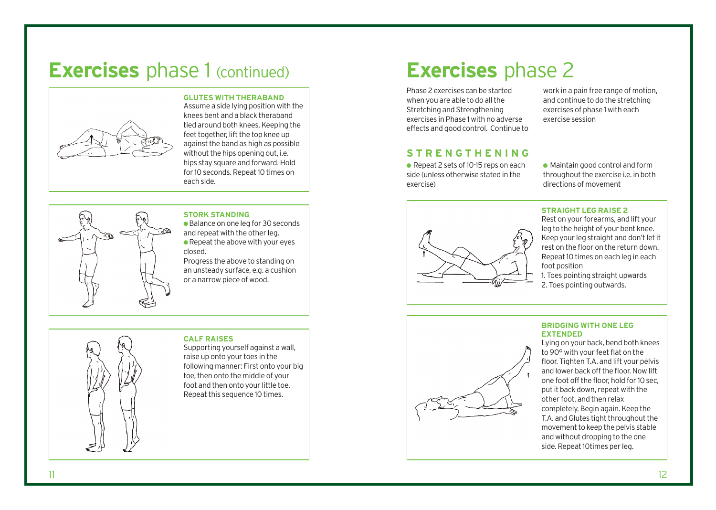# **Exercises** phase 1 (continued) **Exercises** phase 2



### **GLUTES WITH THERABAND**

Assume a side lying position with the knees bent and a black theraband tied around both knees. Keeping the feet together, lift the top knee up against the band as high as possible without the hips opening out, i.e. hips stay square and forward. Hold for 10 seconds. Repeat 10 times on each side.



### **STORK STANDING**

● Balance on one leg for 30 seconds and repeat with the other leg. ● Repeat the above with your eyes closed.

Progress the above to standing on an unsteady surface, e.g. a cushion or a narrow piece of wood.



### **CALF RAISES**

Supporting yourself against a wall, raise up onto your toes in the following manner: First onto your big toe, then onto the middle of your foot and then onto your little toe. Repeat this sequence 10 times.

Phase 2 exercises can be started when you are able to do all the Stretching and Strengthening exercises in Phase 1 with no adverse effects and good control. Continue to work in a pain free range of motion, and continue to do the stretching exercises of phase 1 with each exercise session

### **STRENGTHENING**

● Repeat 2 sets of 10-15 reps on each side (unless otherwise stated in the exercise)

● Maintain good control and form throughout the exercise i.e. in both directions of movement



### **STRAIGHT LEG RAISE 2**

Rest on your forearms, and lift your leg to the height of your bent knee. Keep your leg straight and don't let it rest on the floor on the return down. Repeat 10 times on each leg in each foot position

1. Toes pointing straight upwards 2. Toes pointing outwards.



### **BRIDGING WITH ONE LEG EXTENDED**

Lying on your back, bend both knees to 90° with your feet flat on the floor. Tighten T.A. and lift your pelvis and lower back off the floor. Now lift one foot off the floor, hold for 10 sec, put it back down, repeat with the other foot, and then relax completely. Begin again. Keep the T.A. and Glutes tight throughout the movement to keep the pelvis stable and without dropping to the one side. Repeat 10times per leg.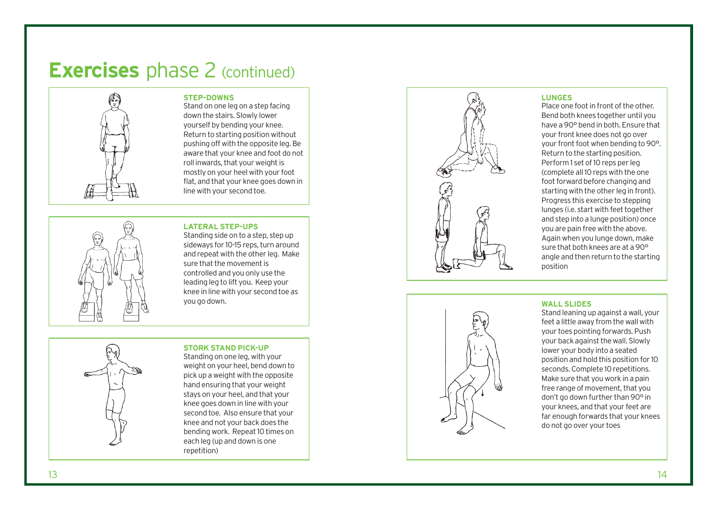# **Exercises** phase 2 (continued)



### **STEP-DOWNS**

Stand on one leg on a step facing down the stairs. Slowly lower yourself by bending your knee. Return to starting position without pushing off with the opposite leg. Be aware that your knee and foot do not roll inwards, that your weight is mostly on your heel with your foot flat, and that your knee goes down in line with your second toe.



#### **LATERAL STEP-UPS**

Standing side on to a step, step up side ways for 10-15 reps, turn around and repeat with the other leg. Make sure that the movement is controlled and you only use the leading leg to lift you. Keep your knee in line with your second toe as you go down.

Standing on one leg, with your weight on your heel, bend down to

**STORK STAND PICK-UP**

pick up a weight with the opposit e hand ensuring that your weight stays on your heel, and that your knee goes down in line with your second toe. Also ensure that your knee and not your back does the bending work. Repeat 10 times on each leg (up and down is one repetition)



#### **LUNGES**

Place one foot in front of the other. Bend both knees together until you have a 90° bend in both. Ensure that your front knee does not go over your front foot when bending to 90°. Return to the starting position. Perform 1 set of 10 reps per leg (complete all 10 reps with the one foot forward before changing and starting with the other leg in front). Progress this exercise to stepping lunges (i.e. start with feet together and step into a lunge position) once you are pain free with the above. Again when you lunge down, make sure that both knees are at a 90° angle and then r e turn to the starting position



#### **WALL SLIDE S**

Stand leaning up against a wall, your feet a little away from the wall with your toes pointing forwards. Push your back against the wall. Slowly lo wer your body into a seated position and hold this position for 10 seconds. Complete 10 repetitions. Make sure that you work in a pain free range of movement, that you don't go down further than 90° in your knees, and that your feet are far enough forwards that your knees do not go over your toes